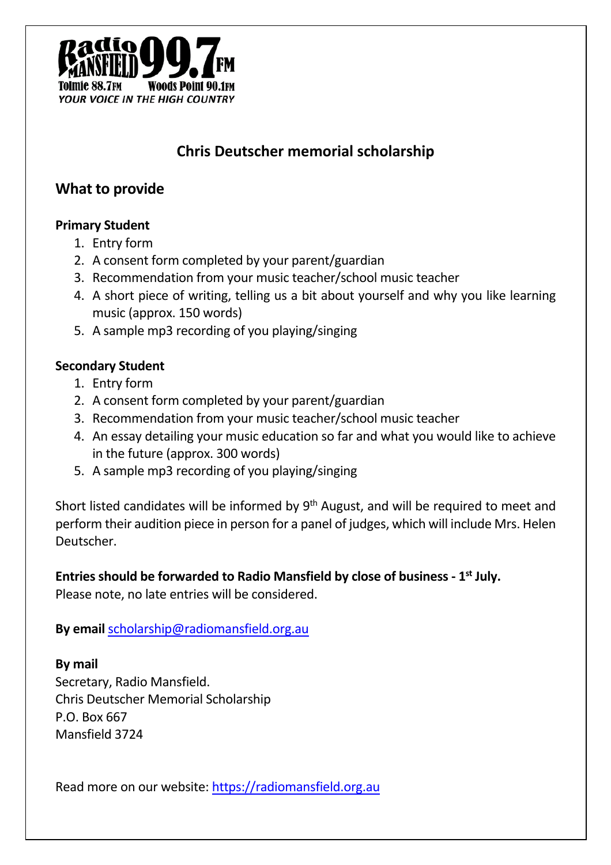

### **What to provide**

#### **Primary Student**

- 1. Entry form
- 2. A consent form completed by your parent/guardian
- 3. Recommendation from your music teacher/school music teacher
- 4. A short piece of writing, telling us a bit about yourself and why you like learning music (approx. 150 words)
- 5. A sample mp3 recording of you playing/singing

#### **Secondary Student**

- 1. Entry form
- 2. A consent form completed by your parent/guardian
- 3. Recommendation from your music teacher/school music teacher
- 4. An essay detailing your music education so far and what you would like to achieve in the future (approx. 300 words)
- 5. A sample mp3 recording of you playing/singing

Short listed candidates will be informed by 9<sup>th</sup> August, and will be required to meet and perform their audition piece in person for a panel of judges, which will include Mrs. Helen Deutscher.

#### **Entries should be forwarded to Radio Mansfield by close of business - 1st July.**

Please note, no late entries will be considered.

**By email** scholarship@radiomansfield.org.au

**By mail** Secretary, Radio Mansfield. Chris Deutscher Memorial Scholarship P.O. Box 667 Mansfield 3724

Read more on our website: https://radiomansfield.org.au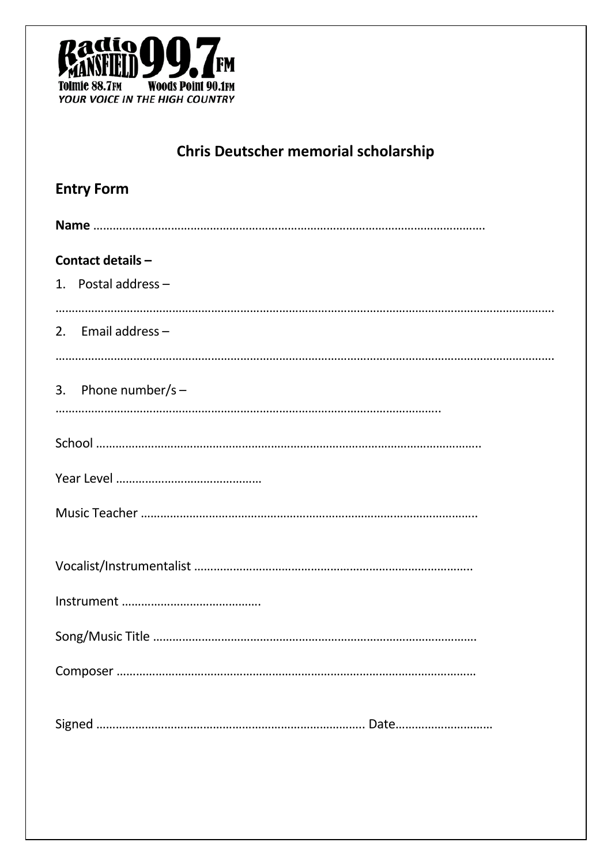

| <b>Entry Form</b>     |
|-----------------------|
|                       |
| Contact details -     |
| 1. Postal address $-$ |
| 2. Email address $-$  |
|                       |
| 3. Phone number/s $-$ |
|                       |
|                       |
|                       |
|                       |
|                       |
|                       |
|                       |
|                       |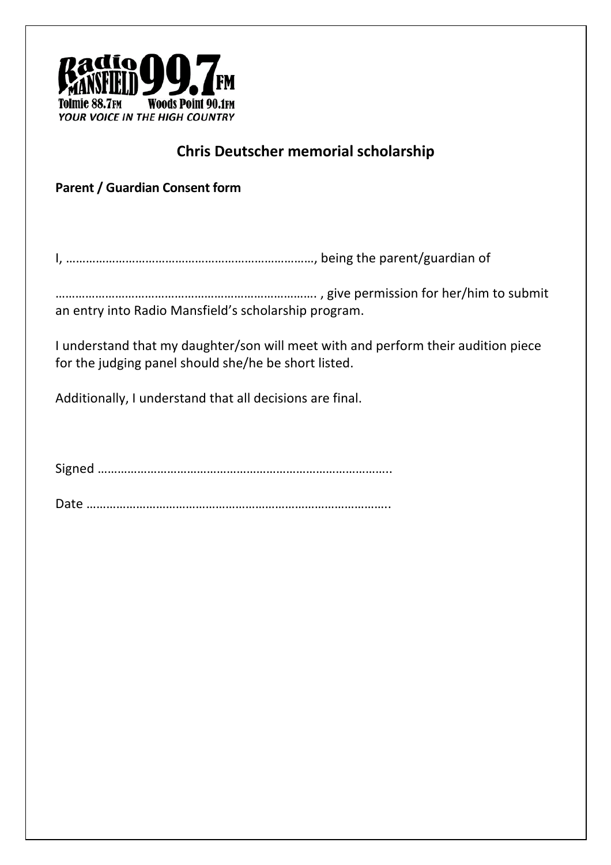

**Parent / Guardian Consent form**

I, …………………………………………………………………, being the parent/guardian of

……………………………………………………………………. , give permission for her/him to submit an entry into Radio Mansfield's scholarship program.

I understand that my daughter/son will meet with and perform their audition piece for the judging panel should she/he be short listed.

Additionally, I understand that all decisions are final.

Signed ……………………………………………………………………………..

Date ………………………………………………………………………………..